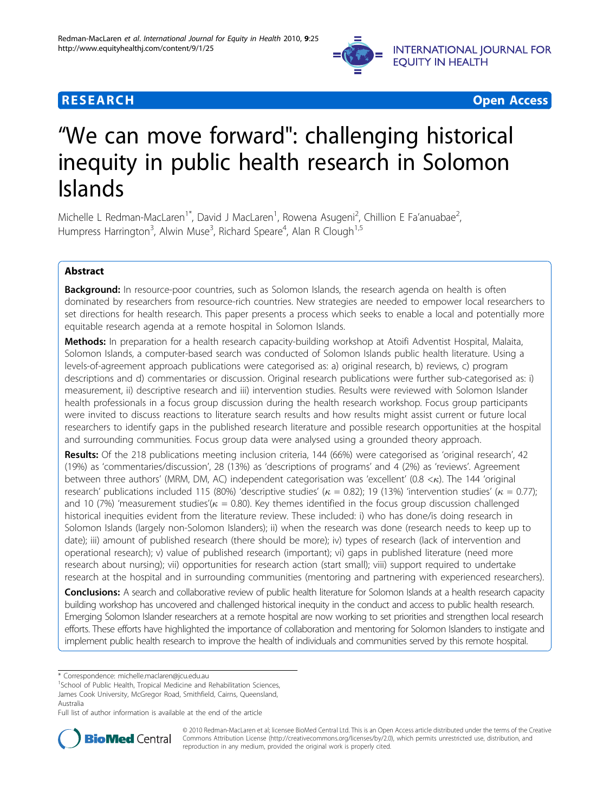

**RESEARCH CONTROL** CONTROL CONTROL CONTROL CONTROL CONTROL CONTROL CONTROL CONTROL CONTROL CONTROL CONTROL CONTROL

# "We can move forward": challenging historical inequity in public health research in Solomon Islands

Michelle L Redman-MacLaren<sup>1\*</sup>, David J MacLaren<sup>1</sup>, Rowena Asugeni<sup>2</sup>, Chillion E Fa'anuabae<sup>2</sup> , Humpress Harrington<sup>3</sup>, Alwin Muse<sup>3</sup>, Richard Speare<sup>4</sup>, Alan R Clough<sup>1,5</sup>

# Abstract

**Background:** In resource-poor countries, such as Solomon Islands, the research agenda on health is often dominated by researchers from resource-rich countries. New strategies are needed to empower local researchers to set directions for health research. This paper presents a process which seeks to enable a local and potentially more equitable research agenda at a remote hospital in Solomon Islands.

Methods: In preparation for a health research capacity-building workshop at Atoifi Adventist Hospital, Malaita, Solomon Islands, a computer-based search was conducted of Solomon Islands public health literature. Using a levels-of-agreement approach publications were categorised as: a) original research, b) reviews, c) program descriptions and d) commentaries or discussion. Original research publications were further sub-categorised as: i) measurement, ii) descriptive research and iii) intervention studies. Results were reviewed with Solomon Islander health professionals in a focus group discussion during the health research workshop. Focus group participants were invited to discuss reactions to literature search results and how results might assist current or future local researchers to identify gaps in the published research literature and possible research opportunities at the hospital and surrounding communities. Focus group data were analysed using a grounded theory approach.

Results: Of the 218 publications meeting inclusion criteria, 144 (66%) were categorised as 'original research', 42 (19%) as 'commentaries/discussion', 28 (13%) as 'descriptions of programs' and 4 (2%) as 'reviews'. Agreement between three authors' (MRM, DM, AC) independent categorisation was 'excellent' (0.8  $\langle \kappa \rangle$ ). The 144 'original research' publications included 115 (80%) 'descriptive studies' ( $\kappa = 0.82$ ); 19 (13%) 'intervention studies' ( $\kappa = 0.77$ ); and 10 (7%) 'measurement studies'( $\kappa = 0.80$ ). Key themes identified in the focus group discussion challenged historical inequities evident from the literature review. These included: i) who has done/is doing research in Solomon Islands (largely non-Solomon Islanders); ii) when the research was done (research needs to keep up to date); iii) amount of published research (there should be more); iv) types of research (lack of intervention and operational research); v) value of published research (important); vi) gaps in published literature (need more research about nursing); vii) opportunities for research action (start small); viii) support required to undertake research at the hospital and in surrounding communities (mentoring and partnering with experienced researchers).

Conclusions: A search and collaborative review of public health literature for Solomon Islands at a health research capacity building workshop has uncovered and challenged historical inequity in the conduct and access to public health research. Emerging Solomon Islander researchers at a remote hospital are now working to set priorities and strengthen local research efforts. These efforts have highlighted the importance of collaboration and mentoring for Solomon Islanders to instigate and implement public health research to improve the health of individuals and communities served by this remote hospital.

<sup>1</sup>School of Public Health, Tropical Medicine and Rehabilitation Sciences, James Cook University, McGregor Road, Smithfield, Cairns, Queensland,

Australia

Full list of author information is available at the end of the article



© 2010 Redman-MacLaren et al; licensee BioMed Central Ltd. This is an Open Access article distributed under the terms of the Creative Commons Attribution License [\(http://creativecommons.org/licenses/by/2.0](http://creativecommons.org/licenses/by/2.0)), which permits unrestricted use, distribution, and reproduction in any medium, provided the original work is properly cited.

<sup>\*</sup> Correspondence: [michelle.maclaren@jcu.edu.au](mailto:michelle.maclaren@jcu.edu.au)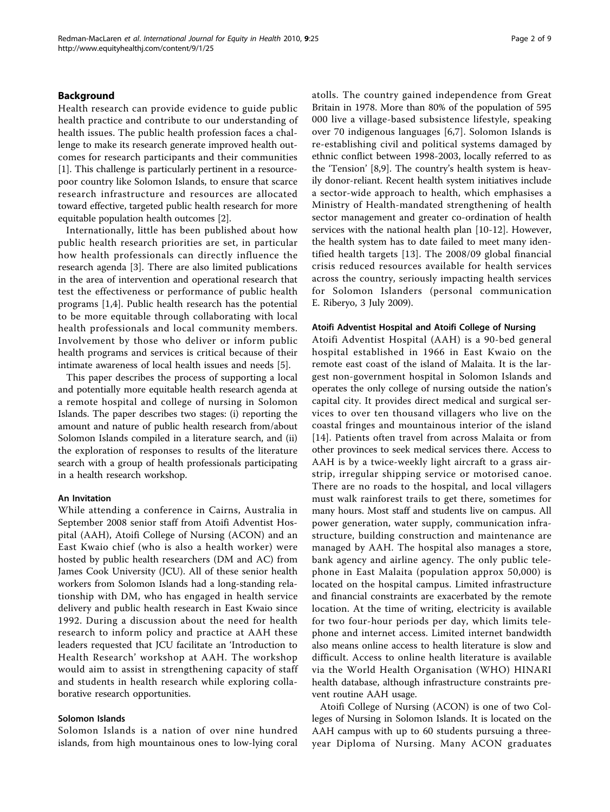#### Background

Health research can provide evidence to guide public health practice and contribute to our understanding of health issues. The public health profession faces a challenge to make its research generate improved health outcomes for research participants and their communities [[1\]](#page-7-0). This challenge is particularly pertinent in a resourcepoor country like Solomon Islands, to ensure that scarce research infrastructure and resources are allocated toward effective, targeted public health research for more equitable population health outcomes [[2\]](#page-8-0).

Internationally, little has been published about how public health research priorities are set, in particular how health professionals can directly influence the research agenda [\[3](#page-8-0)]. There are also limited publications in the area of intervention and operational research that test the effectiveness or performance of public health programs [[1,](#page-7-0)[4\]](#page-8-0). Public health research has the potential to be more equitable through collaborating with local health professionals and local community members. Involvement by those who deliver or inform public health programs and services is critical because of their intimate awareness of local health issues and needs [[5\]](#page-8-0).

This paper describes the process of supporting a local and potentially more equitable health research agenda at a remote hospital and college of nursing in Solomon Islands. The paper describes two stages: (i) reporting the amount and nature of public health research from/about Solomon Islands compiled in a literature search, and (ii) the exploration of responses to results of the literature search with a group of health professionals participating in a health research workshop.

#### An Invitation

While attending a conference in Cairns, Australia in September 2008 senior staff from Atoifi Adventist Hospital (AAH), Atoifi College of Nursing (ACON) and an East Kwaio chief (who is also a health worker) were hosted by public health researchers (DM and AC) from James Cook University (JCU). All of these senior health workers from Solomon Islands had a long-standing relationship with DM, who has engaged in health service delivery and public health research in East Kwaio since 1992. During a discussion about the need for health research to inform policy and practice at AAH these leaders requested that JCU facilitate an 'Introduction to Health Research' workshop at AAH. The workshop would aim to assist in strengthening capacity of staff and students in health research while exploring collaborative research opportunities.

### Solomon Islands

Solomon Islands is a nation of over nine hundred islands, from high mountainous ones to low-lying coral atolls. The country gained independence from Great Britain in 1978. More than 80% of the population of 595 000 live a village-based subsistence lifestyle, speaking over 70 indigenous languages [[6,7](#page-8-0)]. Solomon Islands is re-establishing civil and political systems damaged by ethnic conflict between 1998-2003, locally referred to as the 'Tension' [\[8,9](#page-8-0)]. The country's health system is heavily donor-reliant. Recent health system initiatives include a sector-wide approach to health, which emphasises a Ministry of Health-mandated strengthening of health sector management and greater co-ordination of health services with the national health plan [\[10](#page-8-0)-[12\]](#page-8-0). However, the health system has to date failed to meet many identified health targets [[13\]](#page-8-0). The 2008/09 global financial crisis reduced resources available for health services across the country, seriously impacting health services for Solomon Islanders (personal communication E. Riberyo, 3 July 2009).

#### Atoifi Adventist Hospital and Atoifi College of Nursing

Atoifi Adventist Hospital (AAH) is a 90-bed general hospital established in 1966 in East Kwaio on the remote east coast of the island of Malaita. It is the largest non-government hospital in Solomon Islands and operates the only college of nursing outside the nation's capital city. It provides direct medical and surgical services to over ten thousand villagers who live on the coastal fringes and mountainous interior of the island [[14](#page-8-0)]. Patients often travel from across Malaita or from other provinces to seek medical services there. Access to AAH is by a twice-weekly light aircraft to a grass airstrip, irregular shipping service or motorised canoe. There are no roads to the hospital, and local villagers must walk rainforest trails to get there, sometimes for many hours. Most staff and students live on campus. All power generation, water supply, communication infrastructure, building construction and maintenance are managed by AAH. The hospital also manages a store, bank agency and airline agency. The only public telephone in East Malaita (population approx 50,000) is located on the hospital campus. Limited infrastructure and financial constraints are exacerbated by the remote location. At the time of writing, electricity is available for two four-hour periods per day, which limits telephone and internet access. Limited internet bandwidth also means online access to health literature is slow and difficult. Access to online health literature is available via the World Health Organisation (WHO) HINARI health database, although infrastructure constraints prevent routine AAH usage.

Atoifi College of Nursing (ACON) is one of two Colleges of Nursing in Solomon Islands. It is located on the AAH campus with up to 60 students pursuing a threeyear Diploma of Nursing. Many ACON graduates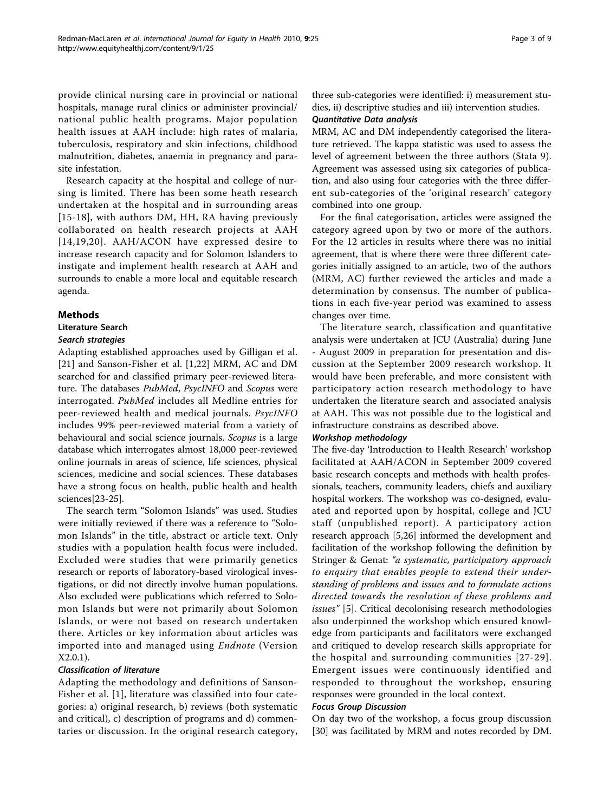provide clinical nursing care in provincial or national hospitals, manage rural clinics or administer provincial/ national public health programs. Major population health issues at AAH include: high rates of malaria, tuberculosis, respiratory and skin infections, childhood malnutrition, diabetes, anaemia in pregnancy and parasite infestation.

Research capacity at the hospital and college of nursing is limited. There has been some heath research undertaken at the hospital and in surrounding areas [[15-18\]](#page-8-0), with authors DM, HH, RA having previously collaborated on health research projects at AAH [[14](#page-8-0),[19](#page-8-0),[20\]](#page-8-0). AAH/ACON have expressed desire to increase research capacity and for Solomon Islanders to instigate and implement health research at AAH and surrounds to enable a more local and equitable research agenda.

#### **Methods**

# Literature Search

#### Search strategies

Adapting established approaches used by Gilligan et al. [[21\]](#page-8-0) and Sanson-Fisher et al. [[1,](#page-7-0)[22\]](#page-8-0) MRM, AC and DM searched for and classified primary peer-reviewed literature. The databases *PubMed, PsycINFO* and *Scopus* were interrogated. PubMed includes all Medline entries for peer-reviewed health and medical journals. PsycINFO includes 99% peer-reviewed material from a variety of behavioural and social science journals. Scopus is a large database which interrogates almost 18,000 peer-reviewed online journals in areas of science, life sciences, physical sciences, medicine and social sciences. These databases have a strong focus on health, public health and health sciences[[23-25\]](#page-8-0).

The search term "Solomon Islands" was used. Studies were initially reviewed if there was a reference to "Solomon Islands" in the title, abstract or article text. Only studies with a population health focus were included. Excluded were studies that were primarily genetics research or reports of laboratory-based virological investigations, or did not directly involve human populations. Also excluded were publications which referred to Solomon Islands but were not primarily about Solomon Islands, or were not based on research undertaken there. Articles or key information about articles was imported into and managed using Endnote (Version X2.0.1).

#### Classification of literature

Adapting the methodology and definitions of Sanson-Fisher et al. [[1\]](#page-7-0), literature was classified into four categories: a) original research, b) reviews (both systematic and critical), c) description of programs and d) commentaries or discussion. In the original research category, three sub-categories were identified: i) measurement studies, ii) descriptive studies and iii) intervention studies.

# Quantitative Data analysis

MRM, AC and DM independently categorised the literature retrieved. The kappa statistic was used to assess the level of agreement between the three authors (Stata 9). Agreement was assessed using six categories of publication, and also using four categories with the three different sub-categories of the 'original research' category combined into one group.

For the final categorisation, articles were assigned the category agreed upon by two or more of the authors. For the 12 articles in results where there was no initial agreement, that is where there were three different categories initially assigned to an article, two of the authors (MRM, AC) further reviewed the articles and made a determination by consensus. The number of publications in each five-year period was examined to assess changes over time.

The literature search, classification and quantitative analysis were undertaken at JCU (Australia) during June - August 2009 in preparation for presentation and discussion at the September 2009 research workshop. It would have been preferable, and more consistent with participatory action research methodology to have undertaken the literature search and associated analysis at AAH. This was not possible due to the logistical and infrastructure constrains as described above.

#### Workshop methodology

The five-day 'Introduction to Health Research' workshop facilitated at AAH/ACON in September 2009 covered basic research concepts and methods with health professionals, teachers, community leaders, chiefs and auxiliary hospital workers. The workshop was co-designed, evaluated and reported upon by hospital, college and JCU staff (unpublished report). A participatory action research approach [[5,26\]](#page-8-0) informed the development and facilitation of the workshop following the definition by Stringer & Genat: "a systematic, participatory approach to enquiry that enables people to extend their understanding of problems and issues and to formulate actions directed towards the resolution of these problems and issues" [[5\]](#page-8-0). Critical decolonising research methodologies also underpinned the workshop which ensured knowledge from participants and facilitators were exchanged and critiqued to develop research skills appropriate for the hospital and surrounding communities [[27](#page-8-0)-[29\]](#page-8-0). Emergent issues were continuously identified and responded to throughout the workshop, ensuring responses were grounded in the local context.

#### Focus Group Discussion

On day two of the workshop, a focus group discussion [[30\]](#page-8-0) was facilitated by MRM and notes recorded by DM.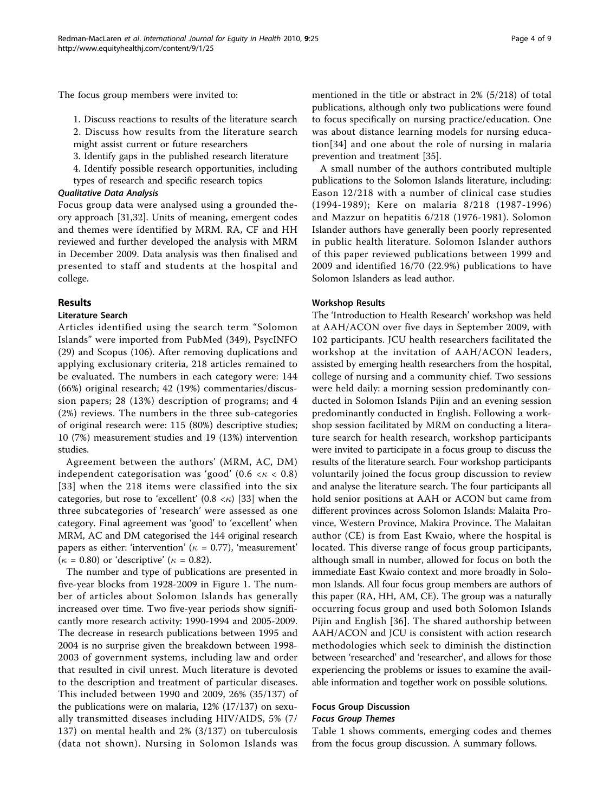The focus group members were invited to:

- 1. Discuss reactions to results of the literature search
- 2. Discuss how results from the literature search might assist current or future researchers
- 3. Identify gaps in the published research literature
- 4. Identify possible research opportunities, including types of research and specific research topics

#### Qualitative Data Analysis

Focus group data were analysed using a grounded theory approach [[31,32\]](#page-8-0). Units of meaning, emergent codes and themes were identified by MRM. RA, CF and HH reviewed and further developed the analysis with MRM in December 2009. Data analysis was then finalised and presented to staff and students at the hospital and college.

# Results

#### Literature Search

Articles identified using the search term "Solomon Islands" were imported from PubMed (349), PsycINFO (29) and Scopus (106). After removing duplications and applying exclusionary criteria, 218 articles remained to be evaluated. The numbers in each category were: 144 (66%) original research; 42 (19%) commentaries/discussion papers; 28 (13%) description of programs; and 4 (2%) reviews. The numbers in the three sub-categories of original research were: 115 (80%) descriptive studies; 10 (7%) measurement studies and 19 (13%) intervention studies.

Agreement between the authors' (MRM, AC, DM) independent categorisation was 'good' (0.6  $\langle \kappa \times 0.8 \rangle$ ) [[33\]](#page-8-0) when the 218 items were classified into the six categories, but rose to 'excellent'  $(0.8 \lt k)$  [[33\]](#page-8-0) when the three subcategories of 'research' were assessed as one category. Final agreement was 'good' to 'excellent' when MRM, AC and DM categorised the 144 original research papers as either: 'intervention' ( $\kappa = 0.77$ ), 'measurement' ( $\kappa = 0.80$ ) or 'descriptive' ( $\kappa = 0.82$ ).

The number and type of publications are presented in five-year blocks from 1928-2009 in Figure [1](#page-4-0). The number of articles about Solomon Islands has generally increased over time. Two five-year periods show significantly more research activity: 1990-1994 and 2005-2009. The decrease in research publications between 1995 and 2004 is no surprise given the breakdown between 1998- 2003 of government systems, including law and order that resulted in civil unrest. Much literature is devoted to the description and treatment of particular diseases. This included between 1990 and 2009, 26% (35/137) of the publications were on malaria, 12% (17/137) on sexually transmitted diseases including HIV/AIDS, 5% (7/ 137) on mental health and 2% (3/137) on tuberculosis (data not shown). Nursing in Solomon Islands was mentioned in the title or abstract in 2% (5/218) of total publications, although only two publications were found to focus specifically on nursing practice/education. One was about distance learning models for nursing education[\[34\]](#page-8-0) and one about the role of nursing in malaria prevention and treatment [[35\]](#page-8-0).

A small number of the authors contributed multiple publications to the Solomon Islands literature, including: Eason 12/218 with a number of clinical case studies (1994-1989); Kere on malaria 8/218 (1987-1996) and Mazzur on hepatitis 6/218 (1976-1981). Solomon Islander authors have generally been poorly represented in public health literature. Solomon Islander authors of this paper reviewed publications between 1999 and 2009 and identified 16/70 (22.9%) publications to have Solomon Islanders as lead author.

#### Workshop Results

The 'Introduction to Health Research' workshop was held at AAH/ACON over five days in September 2009, with 102 participants. JCU health researchers facilitated the workshop at the invitation of AAH/ACON leaders, assisted by emerging health researchers from the hospital, college of nursing and a community chief. Two sessions were held daily: a morning session predominantly conducted in Solomon Islands Pijin and an evening session predominantly conducted in English. Following a workshop session facilitated by MRM on conducting a literature search for health research, workshop participants were invited to participate in a focus group to discuss the results of the literature search. Four workshop participants voluntarily joined the focus group discussion to review and analyse the literature search. The four participants all hold senior positions at AAH or ACON but came from different provinces across Solomon Islands: Malaita Province, Western Province, Makira Province. The Malaitan author (CE) is from East Kwaio, where the hospital is located. This diverse range of focus group participants, although small in number, allowed for focus on both the immediate East Kwaio context and more broadly in Solomon Islands. All four focus group members are authors of this paper (RA, HH, AM, CE). The group was a naturally occurring focus group and used both Solomon Islands Pijin and English [[36](#page-8-0)]. The shared authorship between AAH/ACON and JCU is consistent with action research methodologies which seek to diminish the distinction between 'researched' and 'researcher', and allows for those experiencing the problems or issues to examine the available information and together work on possible solutions.

# Focus Group Discussion Focus Group Themes

Table [1](#page-5-0) shows comments, emerging codes and themes from the focus group discussion. A summary follows.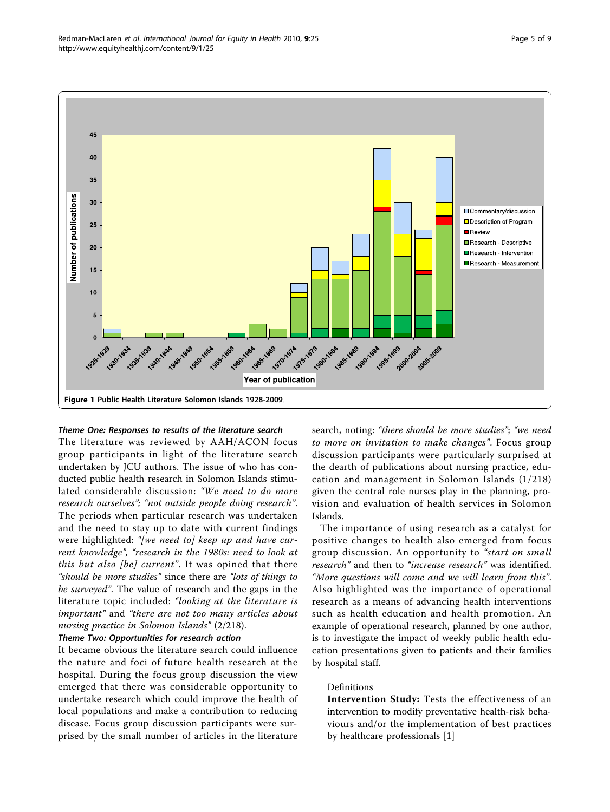<span id="page-4-0"></span>

#### Theme One: Responses to results of the literature search

The literature was reviewed by AAH/ACON focus group participants in light of the literature search undertaken by JCU authors. The issue of who has conducted public health research in Solomon Islands stimulated considerable discussion: "We need to do more research ourselves"; "not outside people doing research". The periods when particular research was undertaken and the need to stay up to date with current findings were highlighted: "[we need to] keep up and have current knowledge", "research in the 1980s: need to look at this but also [be] current". It was opined that there "should be more studies" since there are "lots of things to be surveyed". The value of research and the gaps in the literature topic included: "looking at the literature is important" and "there are not too many articles about nursing practice in Solomon Islands" (2/218).

#### Theme Two: Opportunities for research action

It became obvious the literature search could influence the nature and foci of future health research at the hospital. During the focus group discussion the view emerged that there was considerable opportunity to undertake research which could improve the health of local populations and make a contribution to reducing disease. Focus group discussion participants were surprised by the small number of articles in the literature

search, noting: "there should be more studies"; "we need to move on invitation to make changes". Focus group discussion participants were particularly surprised at the dearth of publications about nursing practice, education and management in Solomon Islands (1/218) given the central role nurses play in the planning, provision and evaluation of health services in Solomon Islands.

The importance of using research as a catalyst for positive changes to health also emerged from focus group discussion. An opportunity to "start on small research" and then to "increase research" was identified. "More questions will come and we will learn from this". Also highlighted was the importance of operational research as a means of advancing health interventions such as health education and health promotion. An example of operational research, planned by one author, is to investigate the impact of weekly public health education presentations given to patients and their families by hospital staff.

#### Definitions

Intervention Study: Tests the effectiveness of an intervention to modify preventative health-risk behaviours and/or the implementation of best practices by healthcare professionals [\[1](#page-7-0)]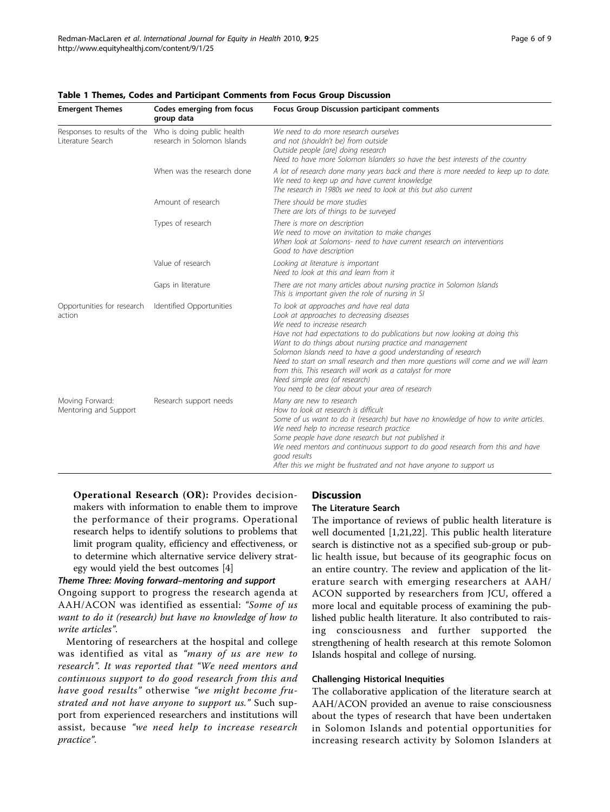| <b>Emergent Themes</b>                   | Codes emerging from focus<br>group data                                               | <b>Focus Group Discussion participant comments</b>                                                                                                                                                                                                                                                                                                                                                                                                                                                                                                                        |
|------------------------------------------|---------------------------------------------------------------------------------------|---------------------------------------------------------------------------------------------------------------------------------------------------------------------------------------------------------------------------------------------------------------------------------------------------------------------------------------------------------------------------------------------------------------------------------------------------------------------------------------------------------------------------------------------------------------------------|
| Literature Search                        | Responses to results of the Who is doing public health<br>research in Solomon Islands | We need to do more research ourselves<br>and not (shouldn't be) from outside<br>Outside people [are] doing research<br>Need to have more Solomon Islanders so have the best interests of the country                                                                                                                                                                                                                                                                                                                                                                      |
|                                          | When was the research done                                                            | A lot of research done many years back and there is more needed to keep up to date.<br>We need to keep up and have current knowledge<br>The research in 1980s we need to look at this but also current                                                                                                                                                                                                                                                                                                                                                                    |
|                                          | Amount of research                                                                    | There should be more studies<br>There are lots of things to be surveyed                                                                                                                                                                                                                                                                                                                                                                                                                                                                                                   |
|                                          | Types of research                                                                     | There is more on description<br>We need to move on invitation to make changes<br>When look at Solomons- need to have current research on interventions<br>Good to have description                                                                                                                                                                                                                                                                                                                                                                                        |
|                                          | Value of research                                                                     | Looking at literature is important<br>Need to look at this and learn from it                                                                                                                                                                                                                                                                                                                                                                                                                                                                                              |
|                                          | Gaps in literature                                                                    | There are not many articles about nursing practice in Solomon Islands<br>This is important given the role of nursing in SI                                                                                                                                                                                                                                                                                                                                                                                                                                                |
| Opportunities for research<br>action     | Identified Opportunities                                                              | To look at approaches and have real data<br>Look at approaches to decreasing diseases<br>We need to increase research<br>Have not had expectations to do publications but now looking at doing this<br>Want to do things about nursing practice and management<br>Solomon Islands need to have a good understanding of research<br>Need to start on small research and then more questions will come and we will learn<br>from this. This research will work as a catalyst for more<br>Need simple area (of research)<br>You need to be clear about your area of research |
| Moving Forward:<br>Mentoring and Support | Research support needs                                                                | Many are new to research<br>How to look at research is difficult<br>Some of us want to do it (research) but have no knowledge of how to write articles.<br>We need help to increase research practice<br>Some people have done research but not published it<br>We need mentors and continuous support to do good research from this and have<br>good results<br>After this we might be frustrated and not have anyone to support us                                                                                                                                      |

#### <span id="page-5-0"></span>Table 1 Themes, Codes and Participant Comments from Focus Group Discussion

Operational Research (OR): Provides decisionmakers with information to enable them to improve the performance of their programs. Operational research helps to identify solutions to problems that limit program quality, efficiency and effectiveness, or to determine which alternative service delivery strategy would yield the best outcomes [\[4\]](#page-8-0)

### Theme Three: Moving forward–mentoring and support

Ongoing support to progress the research agenda at AAH/ACON was identified as essential: "Some of us want to do it (research) but have no knowledge of how to write articles".

Mentoring of researchers at the hospital and college was identified as vital as "many of us are new to research". It was reported that "We need mentors and continuous support to do good research from this and have good results" otherwise "we might become frustrated and not have anyone to support us." Such support from experienced researchers and institutions will assist, because "we need help to increase research practice".

# **Discussion**

#### The Literature Search

The importance of reviews of public health literature is well documented [[1,](#page-7-0)[21,22](#page-8-0)]. This public health literature search is distinctive not as a specified sub-group or public health issue, but because of its geographic focus on an entire country. The review and application of the literature search with emerging researchers at AAH/ ACON supported by researchers from JCU, offered a more local and equitable process of examining the published public health literature. It also contributed to raising consciousness and further supported the strengthening of health research at this remote Solomon Islands hospital and college of nursing.

# Challenging Historical Inequities

The collaborative application of the literature search at AAH/ACON provided an avenue to raise consciousness about the types of research that have been undertaken in Solomon Islands and potential opportunities for increasing research activity by Solomon Islanders at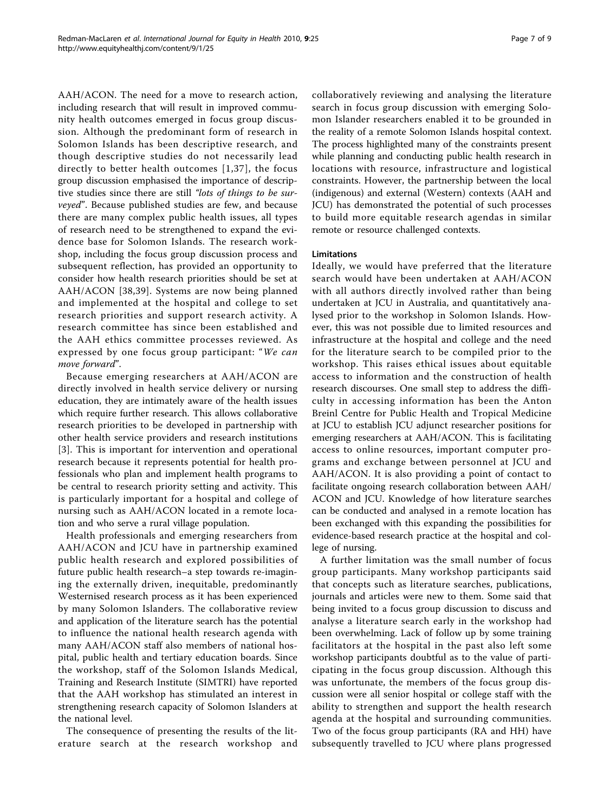AAH/ACON. The need for a move to research action, including research that will result in improved community health outcomes emerged in focus group discussion. Although the predominant form of research in Solomon Islands has been descriptive research, and though descriptive studies do not necessarily lead directly to better health outcomes [[1,](#page-7-0)[37](#page-8-0)], the focus group discussion emphasised the importance of descriptive studies since there are still "lots of things to be surveyed". Because published studies are few, and because there are many complex public health issues, all types of research need to be strengthened to expand the evidence base for Solomon Islands. The research workshop, including the focus group discussion process and subsequent reflection, has provided an opportunity to consider how health research priorities should be set at AAH/ACON [[38,39\]](#page-8-0). Systems are now being planned and implemented at the hospital and college to set research priorities and support research activity. A research committee has since been established and the AAH ethics committee processes reviewed. As expressed by one focus group participant: "We can move forward".

Because emerging researchers at AAH/ACON are directly involved in health service delivery or nursing education, they are intimately aware of the health issues which require further research. This allows collaborative research priorities to be developed in partnership with other health service providers and research institutions [[3](#page-8-0)]. This is important for intervention and operational research because it represents potential for health professionals who plan and implement health programs to be central to research priority setting and activity. This is particularly important for a hospital and college of nursing such as AAH/ACON located in a remote location and who serve a rural village population.

Health professionals and emerging researchers from AAH/ACON and JCU have in partnership examined public health research and explored possibilities of future public health research–a step towards re-imagining the externally driven, inequitable, predominantly Westernised research process as it has been experienced by many Solomon Islanders. The collaborative review and application of the literature search has the potential to influence the national health research agenda with many AAH/ACON staff also members of national hospital, public health and tertiary education boards. Since the workshop, staff of the Solomon Islands Medical, Training and Research Institute (SIMTRI) have reported that the AAH workshop has stimulated an interest in strengthening research capacity of Solomon Islanders at the national level.

The consequence of presenting the results of the literature search at the research workshop and collaboratively reviewing and analysing the literature search in focus group discussion with emerging Solomon Islander researchers enabled it to be grounded in the reality of a remote Solomon Islands hospital context. The process highlighted many of the constraints present while planning and conducting public health research in locations with resource, infrastructure and logistical constraints. However, the partnership between the local (indigenous) and external (Western) contexts (AAH and JCU) has demonstrated the potential of such processes to build more equitable research agendas in similar remote or resource challenged contexts.

#### Limitations

Ideally, we would have preferred that the literature search would have been undertaken at AAH/ACON with all authors directly involved rather than being undertaken at JCU in Australia, and quantitatively analysed prior to the workshop in Solomon Islands. However, this was not possible due to limited resources and infrastructure at the hospital and college and the need for the literature search to be compiled prior to the workshop. This raises ethical issues about equitable access to information and the construction of health research discourses. One small step to address the difficulty in accessing information has been the Anton Breinl Centre for Public Health and Tropical Medicine at JCU to establish JCU adjunct researcher positions for emerging researchers at AAH/ACON. This is facilitating access to online resources, important computer programs and exchange between personnel at JCU and AAH/ACON. It is also providing a point of contact to facilitate ongoing research collaboration between AAH/ ACON and JCU. Knowledge of how literature searches can be conducted and analysed in a remote location has been exchanged with this expanding the possibilities for evidence-based research practice at the hospital and college of nursing.

A further limitation was the small number of focus group participants. Many workshop participants said that concepts such as literature searches, publications, journals and articles were new to them. Some said that being invited to a focus group discussion to discuss and analyse a literature search early in the workshop had been overwhelming. Lack of follow up by some training facilitators at the hospital in the past also left some workshop participants doubtful as to the value of participating in the focus group discussion. Although this was unfortunate, the members of the focus group discussion were all senior hospital or college staff with the ability to strengthen and support the health research agenda at the hospital and surrounding communities. Two of the focus group participants (RA and HH) have subsequently travelled to JCU where plans progressed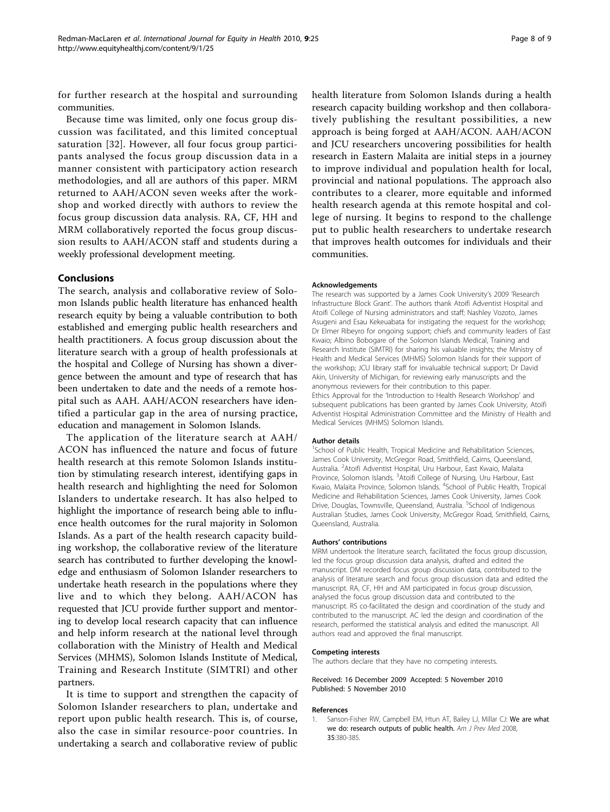<span id="page-7-0"></span>for further research at the hospital and surrounding communities.

Because time was limited, only one focus group discussion was facilitated, and this limited conceptual saturation [[32\]](#page-8-0). However, all four focus group participants analysed the focus group discussion data in a manner consistent with participatory action research methodologies, and all are authors of this paper. MRM returned to AAH/ACON seven weeks after the workshop and worked directly with authors to review the focus group discussion data analysis. RA, CF, HH and MRM collaboratively reported the focus group discussion results to AAH/ACON staff and students during a weekly professional development meeting.

#### Conclusions

The search, analysis and collaborative review of Solomon Islands public health literature has enhanced health research equity by being a valuable contribution to both established and emerging public health researchers and health practitioners. A focus group discussion about the literature search with a group of health professionals at the hospital and College of Nursing has shown a divergence between the amount and type of research that has been undertaken to date and the needs of a remote hospital such as AAH. AAH/ACON researchers have identified a particular gap in the area of nursing practice, education and management in Solomon Islands.

The application of the literature search at AAH/ ACON has influenced the nature and focus of future health research at this remote Solomon Islands institution by stimulating research interest, identifying gaps in health research and highlighting the need for Solomon Islanders to undertake research. It has also helped to highlight the importance of research being able to influence health outcomes for the rural majority in Solomon Islands. As a part of the health research capacity building workshop, the collaborative review of the literature search has contributed to further developing the knowledge and enthusiasm of Solomon Islander researchers to undertake heath research in the populations where they live and to which they belong. AAH/ACON has requested that JCU provide further support and mentoring to develop local research capacity that can influence and help inform research at the national level through collaboration with the Ministry of Health and Medical Services (MHMS), Solomon Islands Institute of Medical, Training and Research Institute (SIMTRI) and other partners.

It is time to support and strengthen the capacity of Solomon Islander researchers to plan, undertake and report upon public health research. This is, of course, also the case in similar resource-poor countries. In undertaking a search and collaborative review of public health literature from Solomon Islands during a health research capacity building workshop and then collaboratively publishing the resultant possibilities, a new approach is being forged at AAH/ACON. AAH/ACON and JCU researchers uncovering possibilities for health research in Eastern Malaita are initial steps in a journey to improve individual and population health for local, provincial and national populations. The approach also contributes to a clearer, more equitable and informed health research agenda at this remote hospital and college of nursing. It begins to respond to the challenge put to public health researchers to undertake research that improves health outcomes for individuals and their communities.

#### Acknowledgements

The research was supported by a James Cook University's 2009 'Research Infrastructure Block Grant'. The authors thank Atoifi Adventist Hospital and Atoifi College of Nursing administrators and staff; Nashley Vozoto, James Asugeni and Esau Kekeuabata for instigating the request for the workshop; Dr Elmer Ribeyro for ongoing support; chiefs and community leaders of East Kwaio; Albino Bobogare of the Solomon Islands Medical, Training and Research Institute (SIMTRI) for sharing his valuable insights; the Ministry of Health and Medical Services (MHMS) Solomon Islands for their support of the workshop; JCU library staff for invaluable technical support; Dr David Akin, University of Michigan, for reviewing early manuscripts and the anonymous reviewers for their contribution to this paper. Ethics Approval for the 'Introduction to Health Research Workshop' and subsequent publications has been granted by James Cook University, Atoifi Adventist Hospital Administration Committee and the Ministry of Health and Medical Services (MHMS) Solomon Islands.

#### Author details

<sup>1</sup>School of Public Health, Tropical Medicine and Rehabilitation Sciences James Cook University, McGregor Road, Smithfield, Cairns, Queensland, Australia. <sup>2</sup> Atoifi Adventist Hospital, Uru Harbour, East Kwaio, Malaita Province, Solomon Islands. <sup>3</sup> Atoifi College of Nursing, Uru Harbour, East Kwaio, Malaita Province, Solomon Islands. <sup>4</sup>School of Public Health, Tropical Medicine and Rehabilitation Sciences, James Cook University, James Cook Drive, Douglas, Townsville, Queensland, Australia. <sup>5</sup>School of Indigenous Australian Studies, James Cook University, McGregor Road, Smithfield, Cairns, Queensland, Australia.

#### Authors' contributions

MRM undertook the literature search, facilitated the focus group discussion, led the focus group discussion data analysis, drafted and edited the manuscript. DM recorded focus group discussion data, contributed to the analysis of literature search and focus group discussion data and edited the manuscript. RA, CF, HH and AM participated in focus group discussion, analysed the focus group discussion data and contributed to the manuscript. RS co-facilitated the design and coordination of the study and contributed to the manuscript. AC led the design and coordination of the research, performed the statistical analysis and edited the manuscript. All authors read and approved the final manuscript.

#### Competing interests

The authors declare that they have no competing interests.

Received: 16 December 2009 Accepted: 5 November 2010 Published: 5 November 2010

#### References

1. Sanson-Fisher RW, Campbell EM, Htun AT, Bailey LJ, Millar CJ: [We are what](http://www.ncbi.nlm.nih.gov/pubmed/18687567?dopt=Abstract) [we do: research outputs of public health.](http://www.ncbi.nlm.nih.gov/pubmed/18687567?dopt=Abstract) Am J Prev Med 2008, 35:380-385.